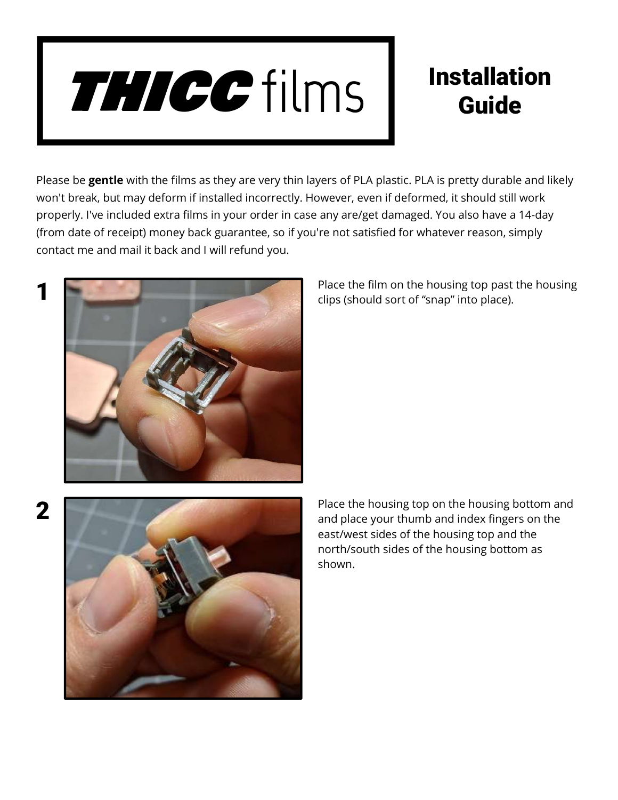# THICC films

## Installation Guide

Please be gentle with the films as they are very thin layers of PLA plastic. PLA is pretty durable and likely won't break, but may deform if installed incorrectly. However, even if deformed, it should still work properly. I've included extra films in your order in case any are/get damaged. You also have a 14-day (from date of receipt) money back guarantee, so if you're not satisfied for whatever reason, simply contact me and mail it back and I will refund you.



1

2

Place the film on the housing top past the housing clips (should sort of "snap" into place).



Place the housing top on the housing bottom and and place your thumb and index fingers on the east/west sides of the housing top and the north/south sides of the housing bottom as shown.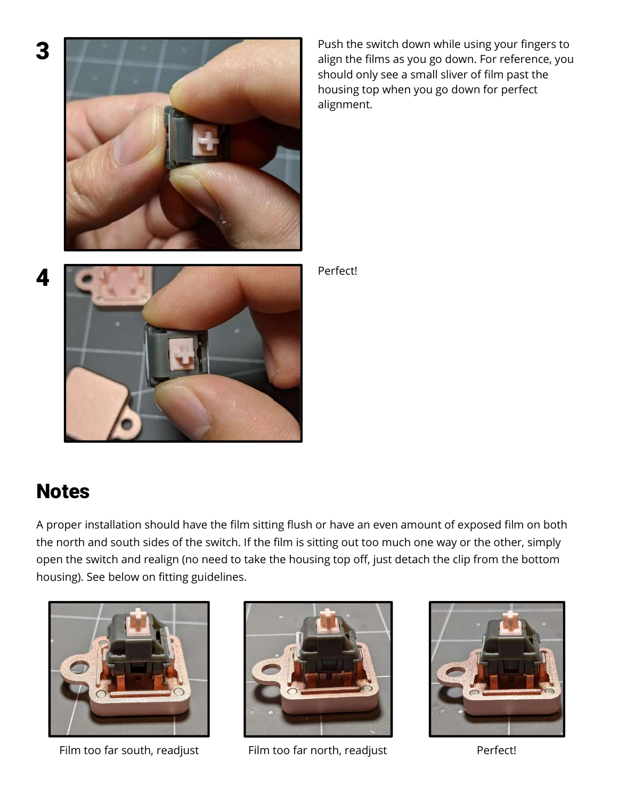

Push the switch down while using your fingers to align the films as you go down. For reference, you should only see a small sliver of film past the housing top when you go down for perfect alignment.

Perfect!

### Notes

A proper installation should have the film sitting flush or have an even amount of exposed film on both the north and south sides of the switch. If the film is sitting out too much one way or the other, simply open the switch and realign (no need to take the housing top off, just detach the clip from the bottom housing). See below on fitting guidelines.





Film too far south, readjust Film too far north, readjust Perfect!